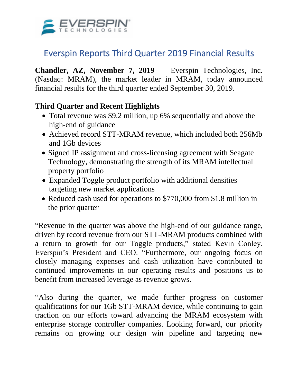

# Everspin Reports Third Quarter 2019 Financial Results

**Chandler, AZ, November 7, 2019** — Everspin Technologies, Inc. (Nasdaq: MRAM), the market leader in MRAM, today announced financial results for the third quarter ended September 30, 2019.

## **Third Quarter and Recent Highlights**

- Total revenue was \$9.2 million, up 6% sequentially and above the high-end of guidance
- Achieved record STT-MRAM revenue, which included both 256Mb and 1Gb devices
- Signed IP assignment and cross-licensing agreement with Seagate Technology, demonstrating the strength of its MRAM intellectual property portfolio
- Expanded Toggle product portfolio with additional densities targeting new market applications
- Reduced cash used for operations to \$770,000 from \$1.8 million in the prior quarter

"Revenue in the quarter was above the high-end of our guidance range, driven by record revenue from our STT-MRAM products combined with a return to growth for our Toggle products," stated Kevin Conley, Everspin's President and CEO. "Furthermore, our ongoing focus on closely managing expenses and cash utilization have contributed to continued improvements in our operating results and positions us to benefit from increased leverage as revenue grows.

"Also during the quarter, we made further progress on customer qualifications for our 1Gb STT-MRAM device, while continuing to gain traction on our efforts toward advancing the MRAM ecosystem with enterprise storage controller companies. Looking forward, our priority remains on growing our design win pipeline and targeting new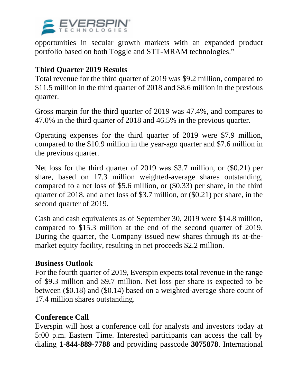

opportunities in secular growth markets with an expanded product portfolio based on both Toggle and STT-MRAM technologies."

# **Third Quarter 2019 Results**

Total revenue for the third quarter of 2019 was \$9.2 million, compared to \$11.5 million in the third quarter of 2018 and \$8.6 million in the previous quarter.

Gross margin for the third quarter of 2019 was 47.4%, and compares to 47.0% in the third quarter of 2018 and 46.5% in the previous quarter.

Operating expenses for the third quarter of 2019 were \$7.9 million, compared to the \$10.9 million in the year-ago quarter and \$7.6 million in the previous quarter.

Net loss for the third quarter of 2019 was \$3.7 million, or (\$0.21) per share, based on 17.3 million weighted-average shares outstanding, compared to a net loss of \$5.6 million, or (\$0.33) per share, in the third quarter of 2018, and a net loss of \$3.7 million, or (\$0.21) per share, in the second quarter of 2019.

Cash and cash equivalents as of September 30, 2019 were \$14.8 million, compared to \$15.3 million at the end of the second quarter of 2019. During the quarter, the Company issued new shares through its at-themarket equity facility, resulting in net proceeds \$2.2 million.

### **Business Outlook**

For the fourth quarter of 2019, Everspin expects total revenue in the range of \$9.3 million and \$9.7 million. Net loss per share is expected to be between (\$0.18) and (\$0.14) based on a weighted-average share count of 17.4 million shares outstanding.

### **Conference Call**

Everspin will host a conference call for analysts and investors today at 5:00 p.m. Eastern Time. Interested participants can access the call by dialing **1-844-889-7788** and providing passcode **3075878**. International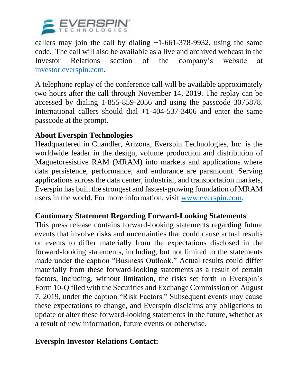

callers may join the call by dialing  $+1-661-378-9932$ , using the same code. The call will also be available as a live and archived webcast in the Investor Relations section of the company's website at [investor.everspin.com.](http://investor.everspin.com/)

A telephone replay of the conference call will be available approximately two hours after the call through November 14, 2019. The replay can be accessed by dialing 1-855-859-2056 and using the passcode 3075878. International callers should dial +1-404-537-3406 and enter the same passcode at the prompt.

### **About Everspin Technologies**

Headquartered in Chandler, Arizona, Everspin Technologies, Inc. is the worldwide leader in the design, volume production and distribution of Magnetoresistive RAM (MRAM) into markets and applications where data persistence, performance, and endurance are paramount. Serving applications across the data center, industrial, and transportation markets, Everspin has built the strongest and fastest-growing foundation of MRAM users in the world. For more information, visit [www.everspin.com.](https://cts.businesswire.com/ct/CT?id=smartlink&url=https%3A%2F%2Fwww.everspin.com%2F&esheet=51973527&newsitemid=20190424005198&lan=en-US&anchor=www.everspin.com&index=2&md5=29f15af1b1fbd3ee847912affa054158)

### **Cautionary Statement Regarding Forward-Looking Statements**

This press release contains forward-looking statements regarding future events that involve risks and uncertainties that could cause actual results or events to differ materially from the expectations disclosed in the forward-looking statements, including, but not limited to the statements made under the caption "Business Outlook." Actual results could differ materially from these forward-looking statements as a result of certain factors, including, without limitation, the risks set forth in Everspin's Form 10-Q filed with the Securities and Exchange Commission on August 7, 2019, under the caption "Risk Factors." Subsequent events may cause these expectations to change, and Everspin disclaims any obligations to update or alter these forward-looking statements in the future, whether as a result of new information, future events or otherwise.

### **Everspin Investor Relations Contact:**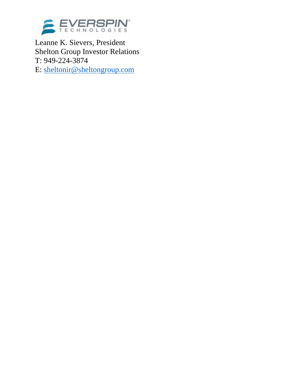

Leanne K. Sievers, President Shelton Group Investor Relations T: 949-224-3874 E: [sheltonir@sheltongroup.com](mailto:sheltonir@sheltongroup.com)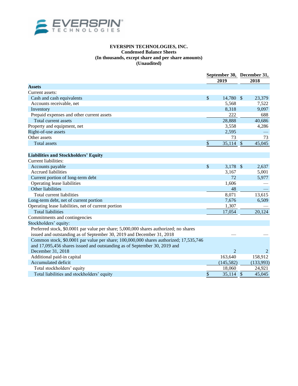

#### **EVERSPIN TECHNOLOGIES, INC. Condensed Balance Sheets (In thousands, except share and per share amounts) (Unaudited)**

|                                                                                       | September 30, December 31,<br>2019 |                           | 2018      |
|---------------------------------------------------------------------------------------|------------------------------------|---------------------------|-----------|
| <b>Assets</b>                                                                         |                                    |                           |           |
| Current assets:                                                                       |                                    |                           |           |
| Cash and cash equivalents                                                             | \$<br>14,780 \$                    |                           | 23,379    |
| Accounts receivable, net                                                              | 5,568                              |                           | 7,522     |
| Inventory                                                                             | 8,318                              |                           | 9,097     |
| Prepaid expenses and other current assets                                             | 222                                |                           | 688       |
| Total current assets                                                                  | 28,888                             |                           | 40,686    |
| Property and equipment, net                                                           | 3,558                              |                           | 4,286     |
| Right-of-use assets                                                                   | 2,595                              |                           |           |
| Other assets                                                                          | 73                                 |                           | 73        |
| <b>Total assets</b>                                                                   | \$<br>35,114                       | $\boldsymbol{\mathsf{S}}$ | 45,045    |
|                                                                                       |                                    |                           |           |
| <b>Liabilities and Stockholders' Equity</b>                                           |                                    |                           |           |
| Current liabilities:                                                                  |                                    |                           |           |
| Accounts payable                                                                      | \$<br>3,178 \$                     |                           | 2,637     |
| <b>Accrued liabilities</b>                                                            | 3,167                              |                           | 5,001     |
| Current portion of long-term debt                                                     | 72                                 |                           | 5,977     |
| Operating lease liabilities                                                           | 1,606                              |                           |           |
| Other liabilities                                                                     | 48                                 |                           |           |
| Total current liabilities                                                             | 8,071                              |                           | 13,615    |
| Long-term debt, net of current portion                                                | 7,676                              |                           | 6,509     |
| Operating lease liabilities, net of current portion                                   | 1,307                              |                           |           |
| <b>Total liabilities</b>                                                              | 17,054                             |                           | 20,124    |
| Commitments and contingencies                                                         |                                    |                           |           |
| Stockholders' equity:                                                                 |                                    |                           |           |
| Preferred stock, \$0.0001 par value per share; 5,000,000 shares authorized; no shares |                                    |                           |           |
| issued and outstanding as of September 30, 2019 and December 31, 2018                 |                                    |                           |           |
| Common stock, \$0.0001 par value per share; 100,000,000 shares authorized; 17,535,746 |                                    |                           |           |
| and 17,095,456 shares issued and outstanding as of September 30, 2019 and             |                                    |                           |           |
| December 31, 2018                                                                     | $\overline{2}$                     |                           |           |
| Additional paid-in capital                                                            | 163,640                            |                           | 158,912   |
| Accumulated deficit                                                                   | (145, 582)                         |                           | (133,993) |
| Total stockholders' equity                                                            | 18,060                             |                           | 24,921    |
| Total liabilities and stockholders' equity                                            | \$<br>$35,114$ \$                  |                           | 45,045    |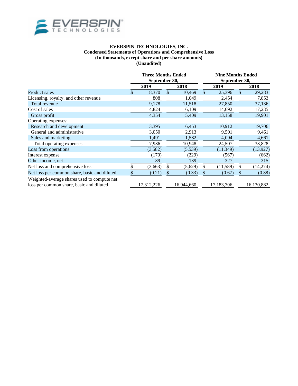

#### **EVERSPIN TECHNOLOGIES, INC. Condensed Statements of Operations and Comprehensive Loss (In thousands, except share and per share amounts) (Unaudited)**

|                                              | <b>Three Months Ended</b><br>September 30, |            |    | <b>Nine Months Ended</b><br>September 30, |    |            |    |            |
|----------------------------------------------|--------------------------------------------|------------|----|-------------------------------------------|----|------------|----|------------|
|                                              |                                            | 2019       |    | 2018                                      |    | 2019       |    | 2018       |
| Product sales                                | \$                                         | 8,370      | \$ | 10,469                                    | \$ | 25,396     | \$ | 29,283     |
| Licensing, royalty, and other revenue        |                                            | 808        |    | 1,049                                     |    | 2,454      |    | 7,853      |
| Total revenue                                |                                            | 9,178      |    | 11,518                                    |    | 27,850     |    | 37,136     |
| Cost of sales                                |                                            | 4,824      |    | 6,109                                     |    | 14,692     |    | 17,235     |
| Gross profit                                 |                                            | 4,354      |    | 5,409                                     |    | 13,158     |    | 19,901     |
| Operating expenses:                          |                                            |            |    |                                           |    |            |    |            |
| Research and development                     |                                            | 3,395      |    | 6,453                                     |    | 10,912     |    | 19,706     |
| General and administrative                   |                                            | 3,050      |    | 2,913                                     |    | 9,501      |    | 9,461      |
| Sales and marketing                          |                                            | 1,491      |    | 1,582                                     |    | 4,094      |    | 4,661      |
| Total operating expenses                     |                                            | 7,936      |    | 10,948                                    |    | 24,507     |    | 33,828     |
| Loss from operations                         |                                            | (3,582)    |    | (5,539)                                   |    | (11, 349)  |    | (13,927)   |
| Interest expense                             |                                            | (170)      |    | (229)                                     |    | (567)      |    | (662)      |
| Other income, net                            |                                            | 89         |    | 139                                       |    | 327        |    | 315        |
| Net loss and comprehensive loss              | \$                                         | (3,663)    | \$ | (5,629)                                   | \$ | (11, 589)  | \$ | (14,274)   |
| Net loss per common share, basic and diluted | \$                                         | (0.21)     |    | (0.33)                                    |    | (0.67)     | S  | (0.88)     |
| Weighted-average shares used to compute net  |                                            |            |    |                                           |    |            |    |            |
| loss per common share, basic and diluted     |                                            | 17,312,226 |    | 16,944,660                                |    | 17,183,306 |    | 16,130,882 |